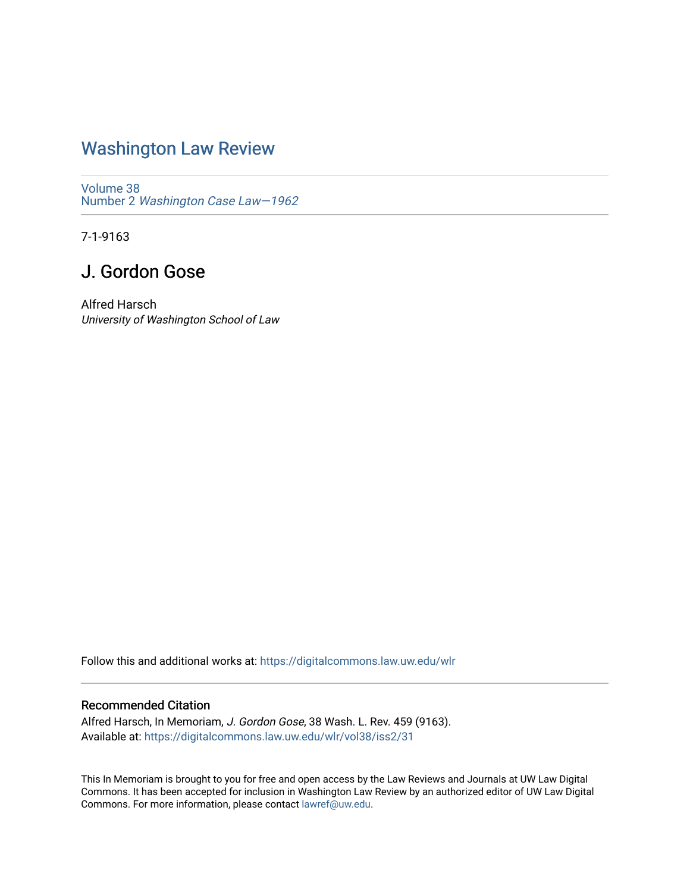## [Washington Law Review](https://digitalcommons.law.uw.edu/wlr)

[Volume 38](https://digitalcommons.law.uw.edu/wlr/vol38) Number 2 [Washington Case Law—1962](https://digitalcommons.law.uw.edu/wlr/vol38/iss2)

7-1-9163

## J. Gordon Gose

Alfred Harsch University of Washington School of Law

Follow this and additional works at: [https://digitalcommons.law.uw.edu/wlr](https://digitalcommons.law.uw.edu/wlr?utm_source=digitalcommons.law.uw.edu%2Fwlr%2Fvol38%2Fiss2%2F31&utm_medium=PDF&utm_campaign=PDFCoverPages)

## Recommended Citation

Alfred Harsch, In Memoriam, J. Gordon Gose, 38 Wash. L. Rev. 459 (9163). Available at: [https://digitalcommons.law.uw.edu/wlr/vol38/iss2/31](https://digitalcommons.law.uw.edu/wlr/vol38/iss2/31?utm_source=digitalcommons.law.uw.edu%2Fwlr%2Fvol38%2Fiss2%2F31&utm_medium=PDF&utm_campaign=PDFCoverPages) 

This In Memoriam is brought to you for free and open access by the Law Reviews and Journals at UW Law Digital Commons. It has been accepted for inclusion in Washington Law Review by an authorized editor of UW Law Digital Commons. For more information, please contact [lawref@uw.edu](mailto:lawref@uw.edu).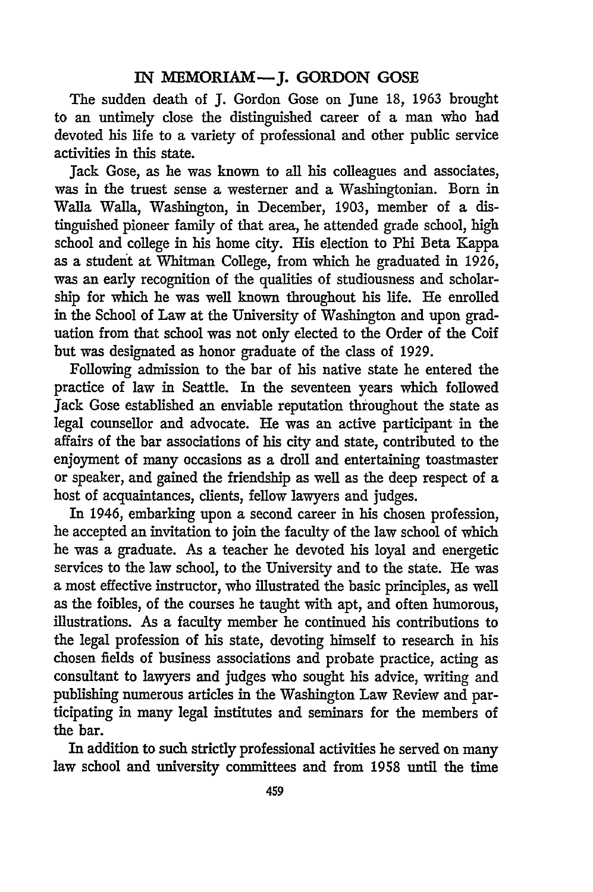## IN MEMORIAM-J. GORDON **GOSE**

The sudden death of **J.** Gordon Gose on June 18, 1963 brought to an untimely close the distinguished career of a man who had devoted his life to a variety of professional and other public service activities in this state.

Jack Gose, as he was known to all his colleagues and associates, was in the truest sense a westerner and a Washingtonian. Born in Walla Walla, Washington, in December, 1903, member of a distinguished pioneer family of that area, he attended grade school, high school and college in his home city. His election to Phi Beta Kappa as a student at Whitman College, from which he graduated in 1926, was an early recognition of the qualities of studiousness and scholarship for which he was well known throughout his life. He enrolled in the School of Law at the University of Washington and upon graduation from that school was not only elected to the Order of the Coif but was designated as honor graduate of the class of 1929.

Following admission to the bar of his native state he entered the practice of law in Seattle. In the seventeen years which followed Jack Gose established an enviable reputation throughout the state as legal counsellor and advocate. He was an active participant in the affairs of the bar associations of his city and state, contributed to the enjoyment of many occasions as a droll and entertaining toastmaster or speaker, and gained the friendship as well as the deep respect of a host of acquaintances, clients, fellow lawyers and judges.

In 1946, embarking upon a second career in his chosen profession, he accepted an invitation to join the faculty of the law school of which he was a graduate. As a teacher he devoted his loyal and energetic services to the law school, to the University and to the state. He was a most effective instructor, who illustrated the basic principles, as well as the foibles, of the courses he taught with apt, and often humorous, illustrations. As a faculty member he continued his contributions to the legal profession of his state, devoting himself to research in his chosen fields of business associations and probate practice, acting as consultant to lawyers and judges who sought his advice, writing and publishing numerous articles in the Washington Law Review and participating in many legal institutes and seminars for the members of the bar.

In addition to such strictly professional activities he served on many law school and university committees and from 1958 until the time